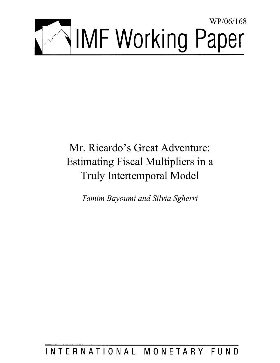

# Mr. Ricardo's Great Adventure: Estimating Fiscal Multipliers in a Truly Intertemporal Model

*Tamim Bayoumi and Silvia Sgherri* 

## INTERNATIONAL MONETARY FUND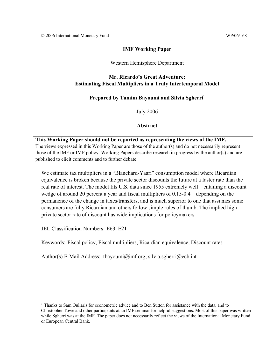#### **IMF Working Paper**

#### Western Hemisphere Department

#### **Mr. Ricardo's Great Adventure: Estimating Fiscal Multipliers in a Truly Intertemporal Model**

#### **Prepared by Tamim Bayoumi and Silvia Sgherri1**

July 2006

#### **Abstract**

**This Working Paper should not be reported as representing the views of the IMF.** The views expressed in this Working Paper are those of the author(s) and do not necessarily represent those of the IMF or IMF policy. Working Papers describe research in progress by the author(s) and are published to elicit comments and to further debate.

We estimate tax multipliers in a "Blanchard-Yaari" consumption model where Ricardian equivalence is broken because the private sector discounts the future at a faster rate than the real rate of interest. The model fits U.S. data since 1955 extremely well—entailing a discount wedge of around 20 percent a year and fiscal multipliers of 0.15-0.4—depending on the permanence of the change in taxes/transfers, and is much superior to one that assumes some consumers are fully Ricardian and others follow simple rules of thumb. The implied high private sector rate of discount has wide implications for policymakers.

JEL Classification Numbers: E63, E21

 $\overline{a}$ 

Keywords: Fiscal policy, Fiscal multipliers, Ricardian equivalence, Discount rates

Author(s) E-Mail Address: tbayoumi@imf.org; silvia.sgherri@ecb.int

<sup>&</sup>lt;sup>1</sup> Thanks to Sam Ouliaris for econometric advice and to Ben Sutton for assistance with the data, and to Christopher Towe and other participants at an IMF seminar for helpful suggestions. Most of this paper was written while Sgherri was at the IMF. The paper does not necessarily reflect the views of the International Monetary Fund or European Central Bank.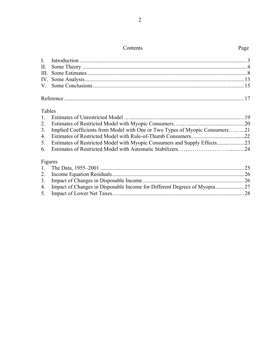#### Contents Page

Reference ...................................................................................................................................17

#### Tables

| <b>TADIC</b> |                                                                             |  |
|--------------|-----------------------------------------------------------------------------|--|
| $1_{\cdot}$  |                                                                             |  |
|              |                                                                             |  |
| 3.           | Implied Coefficients from Model with One or Two Types of Myopic Consumers21 |  |
| 4.           |                                                                             |  |
| 5.           |                                                                             |  |
| 6.           |                                                                             |  |
|              | Figures                                                                     |  |
|              |                                                                             |  |
|              |                                                                             |  |
| 3.           |                                                                             |  |
| 4.           |                                                                             |  |
|              |                                                                             |  |

5. Impact of Lower Net Taxes................................................................................................28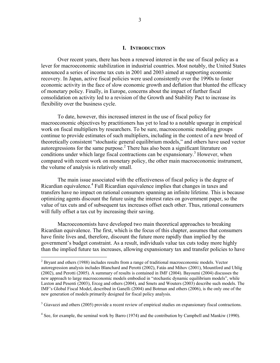#### **I. INTRODUCTION**

Over recent years, there has been a renewed interest in the use of fiscal policy as a lever for macroeconomic stabilization in industrial countries. Most notably, the United States announced a series of income tax cuts in 2001 and 2003 aimed at supporting economic recovery. In Japan, active fiscal policies were used consistently over the 1990s to foster economic activity in the face of slow economic growth and deflation that blunted the efficacy of monetary policy. Finally, in Europe, concerns about the impact of further fiscal consolidation on activity led to a revision of the Growth and Stability Pact to increase its flexibility over the business cycle.

To date, however, this increased interest in the use of fiscal policy for macroeconomic objectives by practitioners has yet to lead to a notable upsurge in empirical work on fiscal multipliers by researchers. To be sure, macroeconomic modeling groups continue to provide estimates of such multipliers, including in the context of a new breed of theoretically consistent "stochastic general equilibrium models," and others have used vector autoregressions for the same purpose.<sup>2</sup> There has also been a significant literature on conditions under which large fiscal contractions can be expansionary.<sup>3</sup> However, when compared with recent work on monetary policy, the other main macroeconomic instrument, the volume of analysis is relatively small.

The main issue associated with the effectiveness of fiscal policy is the degree of Ricardian equivalence.<sup>4</sup> Full Ricardian equivalence implies that changes in taxes and transfers have no impact on rational consumers spanning an infinite lifetime. This is because optimizing agents discount the future using the interest rates on government paper, so the value of tax cuts and of subsequent tax increases offset each other. Thus, rational consumers will fully offset a tax cut by increasing their saving.

Macroeconomists have developed two main theoretical approaches to breaking Ricardian equivalence. The first, which is the focus of this chapter, assumes that consumers have finite lives and, therefore, discount the future more rapidly than implied by the government's budget constraint. As a result, individuals value tax cuts today more highly than the implied future tax increases, allowing expansionary tax and transfer policies to have

<u>.</u>

 $2^2$  Bryant and others (1988) includes results from a range of traditional macroeconomic models. Vector autoregression analysis includes Blanchard and Perotti (2002), Fatás and Mihov (2001), Mountford and Uhlig (2002), and Perotti (2005). A summary of results is contained in IMF (2004). Bayoumi (2004) discusses the new approach to large macroeconomic models embodied in "stochastic dynamic equilibrium models", while Laxton and Pesenti (2003), Erceg and others (2004), and Smets and Wouters (2003) describe such models. The IMF's Global Fiscal Model, described in Ganelli (2004) and Botman and others (2006), is the only one of the new generation of models primarily designed for fiscal policy analysis.

 $3$  Giavazzi and others (2005) provide a recent review of empirical studies on expansionary fiscal contractions.

 $4$  See, for example, the seminal work by Barro (1974) and the contribution by Campbell and Mankiw (1990).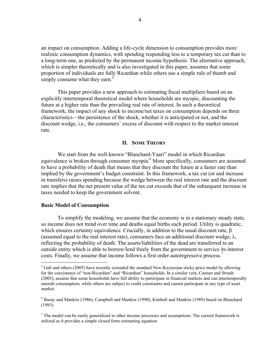an impact on consumption. Adding a life-cycle dimension to consumption provides more realistic consumption dynamics, with spending responding less to a temporary tax cut than to a long-term one, as predicted by the permanent income hypothesis. The alternative approach, which is simpler theoretically and is also investigated in this paper, assumes that some proportion of individuals are fully Ricardian while others use a simple rule of thumb and simply consume what they earn.<sup>5</sup>

This paper provides a new approach to estimating fiscal multipliers based on an explicitly intertemporal theoretical model where households are myopic, discounting the future at a higher rate than the prevailing real rate of interest. In such a theoretical framework, the impact of any shock to income/net taxes on consumption depends on three characteristics—the persistence of the shock, whether it is anticipated or not, and the discount wedge, i.e., the consumers' excess of discount with respect to the market interest rate.

#### **II. SOME THEORY**

We start from the well-known "Blanchard-Yaari" model in which Ricardian equivalence is broken through consumer myopia.<sup>6</sup> More specifically, consumers are assumed to have a probability of death that means that they discount the future at a faster rate than implied by the government's budget constraint. In this framework, a tax cut (or and increase in transfers) raises spending because the wedge between the real interest rate and the discount rate implies that the net present value of the tax cut exceeds that of the subsequent increase in taxes needed to keep the government solvent.

#### **Basic Model of Consumption**

<u>.</u>

To simplify the modeling, we assume that the economy is in a stationary steady state, so income does not trend over time and deaths equal births each period. Utility is quadratic, which ensures certainty equivalence. Crucially, in addition to the usual discount rate, β (assumed equal to the real interest rate), consumers face an additional discount wedge,  $\lambda$ , reflecting the probability of death. The assets/liabilities of the dead are transferred to an outside entity which is able to borrow/lend freely from the government to service its interest costs. Finally, we assume that income follows a first order autoregressive process.<sup>7</sup>

 $<sup>5</sup>$  Galí and others (2005) have recently extended the standard New-Keynesian sticky-price model by allowing</sup> for the coexistence of "non-Ricardian" and "Ricardian" households. In a similar vein, Coenen and Straub (2005), assume that some households have full ability to participate in financial markets and can intertemporally smooth consumption, while others are subject to credit constraints and cannot participate in any type of asset market.

<sup>&</sup>lt;sup>6</sup> Basny and Mankiw (1986), Campbell and Mankiw (1990), Kimball and Mankiw (1989) based on Blanchard (1985).

 $<sup>7</sup>$  The model can be easily generalized to other income processes and assumptions. The current framework is</sup> utilized as it provides a simple closed form estimating equation.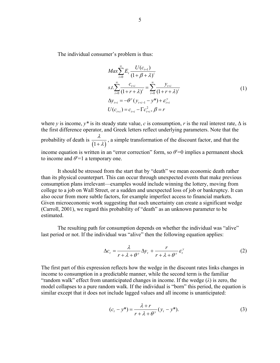The individual consumer's problem is thus:

$$
Max \sum_{i=0}^{\infty} E_{t} \frac{U(c_{t+1})}{(1+\beta+\lambda)^{i}}
$$
  

$$
s.t. \sum_{i=0}^{\infty} \frac{c_{t+i}}{(1+r+\lambda)^{i}} = \sum_{i=0}^{\infty} \frac{y_{t+i}}{(1+r+\lambda)^{i}}
$$
  

$$
\Delta y_{t+i} = -\theta^{y} (y_{t+i-1} - y^{*}) + \varepsilon_{t+i}^{y}
$$
  

$$
U(c_{t+i}) = c_{t+i} - \Gamma c_{t+i}^{2}, \beta = r
$$
 (1)

where *y* is income,  $y^*$  is its steady state value, *c* is consumption, *r* is the real interest rate,  $\Delta$  is the first difference operator, and Greek letters reflect underlying parameters. Note that the probability of death is  $\frac{\lambda}{(1+\lambda)}$ , a simple transformation of the discount factor, and that the income equation is written in an "error correction" form, so  $\theta$ <sup>y</sup>=0 implies a permanent shock to income and  $\theta^{\nu}$ =1 a temporary one.

It should be stressed from the start that by "death" we mean economic death rather than its physical counterpart. This can occur through unexpected events that make previous consumption plans irrelevant—examples would include winning the lottery, moving from college to a job on Wall Street, or a sudden and unexpected loss of job or bankruptcy. It can also occur from more subtle factors, for example imperfect access to financial markets. Given microeconomic work suggesting that such uncertainty can create a significant wedge (Carroll, 2001), we regard this probability of "death" as an unknown parameter to be estimated.

The resulting path for consumption depends on whether the individual was "alive" last period or not. If the individual was "alive" then the following equation applies:

$$
\Delta c_t = \frac{\lambda}{r + \lambda + \theta^y} \Delta y_t + \frac{r}{r + \lambda + \theta^y} \varepsilon_t^y \tag{2}
$$

The first part of this expression reflects how the wedge in the discount rates links changes in income to consumption in a predictable manner, while the second term is the familiar "random walk" effect from unanticipated changes in income. If the wedge  $(\lambda)$  is zero, the model collapses to a pure random walk. If the individual is "born" this period, the equation is similar except that it does not include lagged values and all income is unanticipated:

$$
(ct - y*) = \frac{\lambda + r}{r + \lambda + \theta^y} (y_t - y^*).
$$
 (3)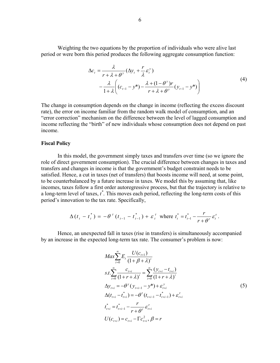Weighting the two equations by the proportion of individuals who were alive last period or were born this period produces the following aggregate consumption function:

$$
\Delta c_t = \frac{\lambda}{r + \lambda + \theta^y} (\Delta y_t + \frac{r}{\lambda} \varepsilon_t^y) \n- \frac{\lambda}{1 + \lambda} \bigg( (c_{t-1} - y^*) - \frac{\lambda + (1 - \theta^y)r}{r + \lambda + \theta^y} (y_{t-1} - y^*) \bigg)
$$
\n(4)

The change in consumption depends on the change in income (reflecting the excess discount rate), the error on income familiar from the random walk model of consumption, and an "error correction" mechanism on the difference between the level of lagged consumption and income reflecting the "birth" of new individuals whose consumption does not depend on past income.

#### **Fiscal Policy**

In this model, the government simply taxes and transfers over time (so we ignore the role of direct government consumption). The crucial difference between changes in taxes and transfers and changes in income is that the government's budget constraint needs to be satisfied. Hence, a cut in taxes (net of transfers) that boosts income will need, at some point, to be counterbalanced by a future increase in taxes. We model this by assuming that, like incomes, taxes follow a first order autoregressive process, but that the trajectory is relative to a long-term level of taxes,  $t^*$ . This moves each period, reflecting the long-term costs of this period's innovation to the tax rate. Specifically,

$$
\Delta(t_{t} - t_{t}^{*}) = -\theta^{\tau}(t_{t-1} - t_{t-1}^{*}) + \varepsilon_{t}^{\tau} \text{ where } t_{t}^{*} = t_{t-1}^{*} - \frac{r}{r + \theta^{\tau}} \varepsilon_{t}^{\tau}.
$$

Hence, an unexpected fall in taxes (rise in transfers) is simultaneously accompanied by an increase in the expected long-term tax rate. The consumer's problem is now:

$$
Max \sum_{i=0}^{\infty} E_{t} \frac{U(c_{t+1})}{(1+\beta+\lambda)^{i}}
$$
  
\n
$$
s.t. \sum_{i=0}^{\infty} \frac{c_{t+i}}{(1+r+\lambda)^{i}} = \sum_{i=0}^{\infty} \frac{(y_{t+i} - t_{t+i})}{(1+r+\lambda)^{i}}
$$
  
\n
$$
\Delta y_{t+i} = -\theta^{y} (y_{t+i-1} - y^{*}) + \varepsilon_{t+i}^{y}
$$
  
\n
$$
\Delta (t_{t+i} - t_{t+i}^{*}) = -\theta^{r} (t_{t+i-1} - t_{t+i-1}^{*}) + \varepsilon_{t+i}^{r}
$$
  
\n
$$
t_{t+i}^{*} = t_{t+i-1}^{*} - \frac{r}{r+\theta^{r}} \varepsilon_{t+i}^{r}
$$
  
\n
$$
U(c_{t+i}) = c_{t+i} - \Gamma c_{t+i}^{2}, \beta = r
$$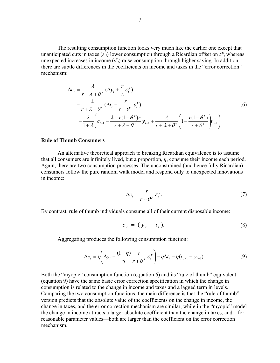The resulting consumption function looks very much like the earlier one except that unanticipated cuts in taxes  $(\varepsilon^{\tau})$  lower consumption through a Ricardian offset on  $t^*$ , whereas unexpected increases in income  $(e^{\nu_t})$  raise consumption through higher saving. In addition, there are subtle differences in the coefficients on income and taxes in the "error correction" mechanism:

$$
\Delta c_{t} = \frac{\lambda}{r + \lambda + \theta^{y}} (\Delta y_{t} + \frac{r}{\lambda} \varepsilon_{t}^{y})
$$
  
 
$$
- \frac{\lambda}{r + \lambda + \theta^{r}} (\Delta t_{t} - \frac{r}{r + \theta^{r}} \varepsilon_{t}^{r})
$$
  
 
$$
- \frac{\lambda}{1 + \lambda} \left( c_{t-1} - \frac{\lambda + r(1 - \theta^{y})r}{r + \lambda + \theta^{y}} y_{t-1} + \frac{\lambda}{r + \lambda + \theta^{r}} \left( 1 - \frac{r(1 - \theta^{r})}{r + \theta^{r}} \right) t_{t-1} \right)
$$
  
(6)

#### **Rule of Thumb Consumers**

An alternative theoretical approach to breaking Ricardian equivalence is to assume that all consumers are infinitely lived, but a proportion, *η*, consume their income each period. Again, there are two consumption processes. The unconstrained (and hence fully Ricardian) consumers follow the pure random walk model and respond only to unexpected innovations in income:

$$
\Delta c_t = \frac{r}{r + \theta^y} \varepsilon_t^y. \tag{7}
$$

By contrast, rule of thumb individuals consume all of their current disposable income:

$$
c_t = (y_t - t_t). \tag{8}
$$

Aggregating produces the following consumption function:

$$
\Delta c_t = \eta \left( \Delta y_t + \frac{(1 - \eta)}{\eta} \frac{r}{r + \theta^y} \varepsilon_t^y \right) - \eta \Delta t_t - \eta (c_{t-1} - y_{t-1}) \tag{9}
$$

Both the "myopic" consumption function (equation 6) and its "rule of thumb" equivalent (equation 9) have the same basic error correction specification in which the change in consumption is related to the change in income and taxes and a lagged term in levels. Comparing the two consumption functions, the main difference is that the "rule of thumb" version predicts that the absolute value of the coefficients on the change in income, the change in taxes, and the error correction mechanism are similar, while in the "myopic" model the change in income attracts a larger absolute coefficient than the change in taxes, and—for reasonable parameter values—both are larger than the coefficient on the error correction mechanism.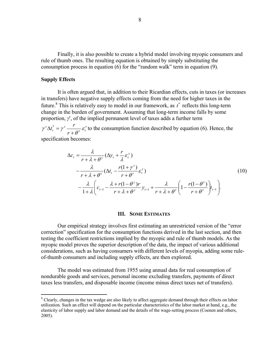Finally, it is also possible to create a hybrid model involving myopic consumers and rule of thumb ones. The resulting equation is obtained by simply substituting the consumption process in equation (6) for the "random walk" term in equation (9).

#### **Supply Effects**

 $\overline{a}$ 

It is often argued that, in addition to their Ricardian effects, cuts in taxes (or increases in transfers) have negative supply effects coming from the need for higher taxes in the future.<sup>8</sup> This is relatively easy to model in our framework, as  $t^*$  reflects this long-term change in the burden of government. Assuming that long-term income falls by some proportion,  $\gamma^s$ , of the implied permanent level of taxes adds a further term

 $\gamma^{s} \Delta t_{t}^{*} = \gamma^{s} \frac{1}{r + \theta^{\tau}} \varepsilon_{t}^{\tau}$ *t s r*  $t_t^* = \gamma^s - \frac{r}{\gamma}$ +  $\Delta t_t^* = \gamma^s \frac{t}{\sigma_t^s} \epsilon_t^r$  to the consumption function described by equation (6). Hence, the specification becomes:

$$
\Delta c_{t} = \frac{\lambda}{r + \lambda + \theta^{y}} (\Delta y_{t} + \frac{r}{\lambda} \varepsilon_{t}^{y})
$$
  
 
$$
- \frac{\lambda}{r + \lambda + \theta^{\tau}} (\Delta t_{t} - \frac{r(1 + \gamma^{s})}{r + \theta^{\tau}} \varepsilon_{t}^{\tau})
$$
  
 
$$
- \frac{\lambda}{1 + \lambda} \left( c_{t-1} - \frac{\lambda + r(1 - \theta^{y})r}{r + \lambda + \theta^{y}} y_{t-1} + \frac{\lambda}{r + \lambda + \theta^{\tau}} \left( 1 - \frac{r(1 - \theta^{t})}{r + \theta^{\tau}} \right) t_{t-1} \right).
$$
  
(10)

#### **III. SOME ESTIMATES**

Our empirical strategy involves first estimating an unrestricted version of the "error correction" specification for the consumption functions derived in the last section, and then testing the coefficient restrictions implied by the myopic and rule of thumb models. As the myopic model proves the superior description of the data, the impact of various additional considerations, such as having consumers with different levels of myopia, adding some ruleof-thumb consumers and including supply effects, are then explored.

The model was estimated from 1955 using annual data for real consumption of nondurable goods and services, personal income excluding transfers, payments of direct taxes less transfers, and disposable income (income minus direct taxes net of transfers).

<sup>&</sup>lt;sup>8</sup> Clearly, changes in the tax wedge are also likely to affect aggregate demand through their effects on labor utilization. Such an effect will depend on the particular characteristics of the labor market at hand, e.g., the elasticity of labor supply and labor demand and the details of the wage-setting process (Coenen and others, 2005).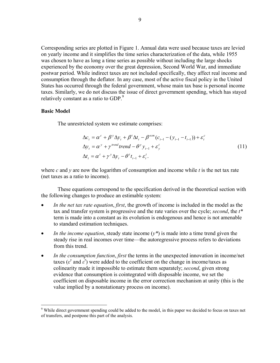Corresponding series are plotted in Figure 1. Annual data were used because taxes are levied on yearly income and it simplifies the time series characterization of the data, while 1955 was chosen to have as long a time series as possible without including the large shocks experienced by the economy over the great depression, Second World War, and immediate postwar period. While indirect taxes are not included specifically, they affect real income and consumption through the deflator. In any case, most of the active fiscal policy in the United States has occurred through the federal government, whose main tax base is personal income taxes. Similarly, we do not discuss the issue of direct government spending, which has stayed relatively constant as a ratio to GDP.<sup>9</sup>

#### **Basic Model**

1

The unrestricted system we estimate comprises:

$$
\Delta c_t = \alpha^c + \beta^y \Delta y_t + \beta^t \Delta t_t - \beta^{ecm} (c_{t-1} - (y_{t-1} - t_{t-1})) + \varepsilon_t^c
$$
  
\n
$$
\Delta y_t = \alpha^y + \gamma^{trend} trend - \theta^y y_{t-1} + \varepsilon_y^t
$$
  
\n
$$
\Delta t_t = \alpha^t + \gamma^y \Delta y_t - \theta^t t_{t-1} + \varepsilon_t^t.
$$
\n(11)

where *c* and *y* are now the logarithm of consumption and income while *t* is the net tax rate (net taxes as a ratio to income).

These equations correspond to the specification derived in the theoretical section with the following changes to produce an estimable system:

- *In the net tax rate equation*, *first*, the growth of income is included in the model as the tax and transfer system is progressive and the rate varies over the cycle; *second*, the *t\** term is made into a constant as its evolution is endogenous and hence is not amenable to standard estimation techniques.
- *In the income equation*, steady state income  $(y^*)$  is made into a time trend given the steady rise in real incomes over time—the autoregressive process refers to deviations from this trend.
- *In the consumption function, first* the terms in the unexpected innovation in income/net taxes ( $\varepsilon^y$  and  $\varepsilon^{\tau}$ ) were added to the coefficient on the change in income/taxes as colinearity made it impossible to estimate them separately; *second*, given strong evidence that consumption is cointegrated with disposable income, we set the coefficient on disposable income in the error correction mechanism at unity (this is the value implied by a nonstationary process on income).

<sup>&</sup>lt;sup>9</sup> While direct government spending could be added to the model, in this paper we decided to focus on taxes net of transfers, and postpone this part of the analysis.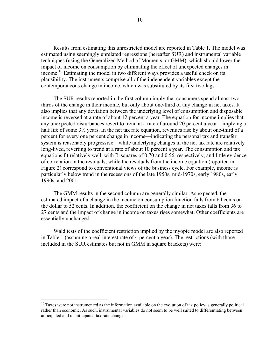Results from estimating this unrestricted model are reported in Table 1. The model was estimated using seemingly unrelated regressions (hereafter SUR) and instrumental variable techniques (using the Generalized Method of Moments, or GMM), which should lower the impact of income on consumption by eliminating the effect of unexpected changes in income.<sup>10</sup> Estimating the model in two different ways provides a useful check on its plausibility. The instruments comprise all of the independent variables except the contemporaneous change in income, which was substituted by its first two lags.

The SUR results reported in the first column imply that consumers spend almost twothirds of the change in their income, but only about one-third of any change in net taxes. It also implies that any deviation between the underlying level of consumption and disposable income is reversed at a rate of about 12 percent a year. The equation for income implies that any unexpected disturbances revert to trend at a rate of around 20 percent a year—implying a half life of some  $3\frac{1}{2}$  years. In the net tax rate equation, revenues rise by about one-third of a percent for every one percent change in income—indicating the personal tax and transfer system is reasonably progressive—while underlying changes in the net tax rate are relatively long-lived, reverting to trend at a rate of about 10 percent a year. The consumption and tax equations fit relatively well, with R-squares of 0.70 and 0.56, respectively, and little evidence of correlation in the residuals, while the residuals from the income equation (reported in Figure 2) correspond to conventional views of the business cycle. For example, income is particularly below trend in the recessions of the late 1950s, mid-1970s, early 1980s, early 1990s, and 2001.

The GMM results in the second column are generally similar. As expected, the estimated impact of a change in the income on consumption function falls from 64 cents on the dollar to 52 cents. In addition, the coefficient on the change in net taxes falls from 36 to 27 cents and the impact of change in income on taxes rises somewhat. Other coefficients are essentially unchanged.

Wald tests of the coefficient restriction implied by the myopic model are also reported in Table 1 (assuming a real interest rate of 4 percent a year). The restrictions (with those included in the SUR estimates but not in GMM in square brackets) were:

<u>.</u>

 $10$  Taxes were not instrumented as the information available on the evolution of tax policy is generally political rather than economic. As such, instrumental variables do not seem to be well suited to differentiating between anticipated and unanticipated tax rate changes.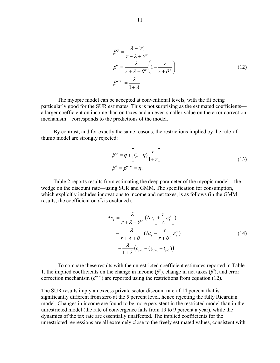$$
\beta^y = \frac{\lambda + [r]}{r + \lambda + \theta^y}
$$
  
\n
$$
\beta^t = \frac{\lambda}{r + \lambda + \theta^x} \left(1 - \frac{r}{r + \theta^x}\right)
$$
  
\n
$$
\beta^{ecm} = \frac{\lambda}{1 + \lambda}
$$
\n(12)

The myopic model can be accepted at conventional levels, with the fit being particularly good for the SUR estimates. This is not surprising as the estimated coefficients a larger coefficient on income than on taxes and an even smaller value on the error correction mechanism—corresponds to the predictions of the model.

By contrast, and for exactly the same reasons, the restrictions implied by the rule-ofthumb model are strongly rejected:

$$
\beta^{\nu} = \eta + \left[ (1 - \eta) \frac{r}{1 + r} \right]
$$
  
\n
$$
\beta^t = \beta^{ecm} = \eta.
$$
\n(13)

Table 2 reports results from estimating the deep parameter of the myopic model—the wedge on the discount rate—using SUR and GMM. The specification for consumption, which explicitly includes innovations to income and net taxes, is as follows (in the GMM results, the coefficient on  $\varepsilon$ <sup>*y*</sup><sub>*t*</sub> is excluded).

$$
\Delta c_{t} = \frac{\lambda}{r + \lambda + \theta^{y}} (\Delta y_{t} \left[ + \frac{r}{\lambda} \varepsilon_{t}^{y} \right])
$$
  
 
$$
- \frac{\lambda}{r + \lambda + \theta^{z}} (\Delta t_{t} - \frac{r}{r + \theta^{z}} \varepsilon_{t}^{z})
$$
  
 
$$
- \frac{\lambda}{1 + \lambda} (c_{t-1} - (y_{t-1} - t_{t-1}))
$$
 (14)

To compare these results with the unrestricted coefficient estimates reported in Table 1, the implied coefficients on the change in income  $(\beta^{\nu})$ , change in net taxes  $(\beta^{\tau})$ , and error correction mechanism ( $\beta^{ecm}$ ) are reported using the restrictions from equation (12).

The SUR results imply an excess private sector discount rate of 14 percent that is significantly different from zero at the 5 percent level, hence rejecting the fully Ricardian model. Changes in income are found to be more persistent in the restricted model than in the unrestricted model (the rate of convergence falls from 19 to 9 percent a year), while the dynamics of the tax rate are essentially unaffected. The implied coefficients for the unrestricted regressions are all extremely close to the freely estimated values, consistent with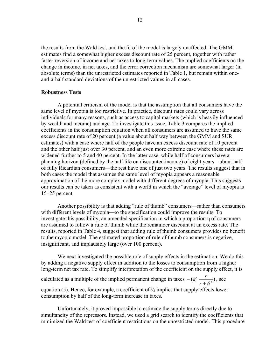the results from the Wald test, and the fit of the model is largely unaffected. The GMM estimates find a somewhat higher excess discount rate of 25 percent, together with rather faster reversion of income and net taxes to long-term values. The implied coefficients on the change in income, in net taxes, and the error correction mechanism are somewhat larger (in absolute terms) than the unrestricted estimates reported in Table 1, but remain within oneand-a-half standard deviations of the unrestricted values in all cases.

#### **Robustness Tests**

A potential criticism of the model is that the assumption that all consumers have the same level of myopia is too restrictive. In practice, discount rates could vary across individuals for many reasons, such as access to capital markets (which is heavily influenced by wealth and income) and age. To investigate this issue, Table 3 compares the implied coefficients in the consumption equation when all consumers are assumed to have the same excess discount rate of 20 percent (a value about half way between the GMM and SUR estimates) with a case where half of the people have an excess discount rate of 10 percent and the other half just over 30 percent, and an even more extreme case where these rates are widened further to 5 and 40 percent. In the latter case, while half of consumers have a planning horizon (defined by the half life on discounted income) of eight years—about half of fully Ricardian consumers—the rest have one of just two years. The results suggest that in both cases the model that assumes the same level of myopia appears a reasonable approximation of the more complex model with different degrees of myopia. This suggests our results can be taken as consistent with a world in which the "average" level of myopia is 15–25 percent.

Another possibility is that adding "rule of thumb" consumers—rather than consumers with different levels of myopia—to the specification could improve the results. To investigate this possibility, an amended specification in which a proportion η of consumers are assumed to follow a rule of thumb while the remainder discount at an excess rate. The results, reported in Table 4, suggest that adding rule of thumb consumers provides no benefit to the myopic model. The estimated proportion of rule of thumb consumers is negative, insignificant, and implausibly large (over 100 percent).

We next investigated the possible role of supply effects in the estimation. We do this by adding a negative supply effect in addition to the losses to consumption from a higher long-term net tax rate. To simplify interpretation of the coefficient on the supply effect, it is calculated as a multiple of the implied permanent change in taxes  $-(\varepsilon_t^{\tau} - \frac{1}{\sqrt{\varepsilon}})$  $-(\varepsilon_t^{\tau} \frac{r}{r+\theta^{\tau}}),$  see equation (5). Hence, for example, a coefficient of  $\frac{1}{2}$  implies that supply effects lower consumption by half of the long-term increase in taxes.

Unfortunately, it proved impossible to estimate the supply terms directly due to simultaneity of the repressors. Instead, we used a grid search to identify the coefficients that minimized the Wald test of coefficient restrictions on the unrestricted model. This procedure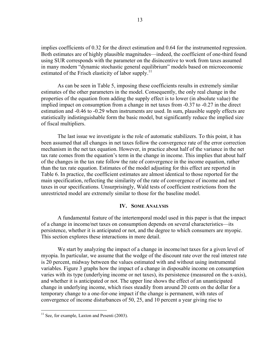implies coefficients of 0.32 for the direct estimation and 0.64 for the instrumented regression. Both estimates are of highly plausible magnitudes—indeed, the coefficient of one-third found using SUR corresponds with the parameter on the disincentive to work from taxes assumed in many modern "dynamic stochastic general equilibrium" models based on microeconomic estimated of the Frisch elasticity of labor supply.<sup>11</sup>

As can be seen in Table 5, imposing these coefficients results in extremely similar estimates of the other parameters in the model. Consequently, the only real change in the properties of the equation from adding the supply effect is to lower (in absolute value) the implied impact on consumption from a change in net taxes from -0.37 to -0.27 in the direct estimation and -0.46 to -0.29 when instruments are used. In sum, plausible supply effects are statistically indistinguishable form the basic model, but significantly reduce the implied size of fiscal multipliers.

The last issue we investigate is the role of automatic stabilizers. To this point, it has been assumed that all changes in net taxes follow the convergence rate of the error correction mechanism in the net tax equation. However, in practice about half of the variance in the net tax rate comes from the equation's term in the change in income. This implies that about half of the changes in the tax rate follow the rate of convergence in the income equation, rather than the tax rate equation. Estimates of the model adjusting for this effect are reported in Table 6. In practice, the coefficient estimates are almost identical to those reported for the main specification, reflecting the similarity of the rate of convergence of income and net taxes in our specifications. Unsurprisingly, Wald tests of coefficient restrictions from the unrestricted model are extremely similar to those for the baseline model.

#### **IV. SOME ANALYSIS**

A fundamental feature of the intertemporal model used in this paper is that the impact of a change in income/net taxes on consumption depends on several characteristics—its persistence, whether it is anticipated or not, and the degree to which consumers are myopic. This section explores these interactions in more detail.

We start by analyzing the impact of a change in income/net taxes for a given level of myopia. In particular, we assume that the wedge of the discount rate over the real interest rate is 20 percent, midway between the values estimated with and without using instrumental variables. Figure 3 graphs how the impact of a change in disposable income on consumption varies with its type (underlying income or net taxes), its persistence (measured on the x-axis), and whether it is anticipated or not. The upper line shows the effect of an unanticipated change in underlying income, which rises steadily from around 20 cents on the dollar for a temporary change to a one-for-one impact if the change is permanent, with rates of convergence of income disturbances of 50, 25, and 10 percent a year giving rise to

 $\overline{a}$ 

 $11$  See, for example, Laxton and Pesenti (2003).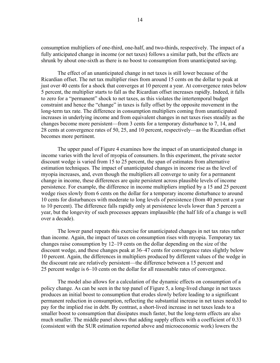consumption multipliers of one-third, one-half, and two-thirds, respectively. The impact of a fully anticipated change in income (or net taxes) follows a similar path, but the effects are shrunk by about one-sixth as there is no boost to consumption from unanticipated saving.

The effect of an unanticipated change in net taxes is still lower because of the Ricardian offset. The net tax multiplier rises from around 15 cents on the dollar to peak at just over 40 cents for a shock that converges at 10 percent a year. At convergence rates below 5 percent, the multiplier starts to fall as the Ricardian offset increases rapidly. Indeed, it falls to zero for a "permanent" shock to net taxes, as this violates the intertemporal budget constraint and hence the "change" in taxes is fully offset by the opposite movement in the long-term tax rate. The difference in consumption multipliers coming from unanticipated increases in underlying income and from equivalent changes in net taxes rises steadily as the changes become more persistent—from 3 cents for a temporary disturbance to 7, 14, and 28 cents at convergence rates of 50, 25, and 10 percent, respectively—as the Ricardian offset becomes more pertinent.

The upper panel of Figure 4 examines how the impact of an unanticipated change in income varies with the level of myopia of consumers. In this experiment, the private sector discount wedge is varied from 15 to 25 percent, the span of estimates from alternative estimation techniques. The impact of unanticipated changes in income rise as the level of myopia increases, and, even though the multipliers all converge to unity for a permanent change in income, these differences are quite persistent across plausible levels of income persistence. For example, the difference in income multipliers implied by a 15 and 25 percent wedge rises slowly from 6 cents on the dollar for a temporary income disturbance to around 10 cents for disturbances with moderate to long levels of persistence (from 40 percent a year to 10 percent). The difference falls rapidly only at persistence levels lower than 5 percent a year, but the longevity of such processes appears implausible (the half life of a change is well over a decade).

The lower panel repeats this exercise for unanticipated changes in net tax rates rather than income. Again, the impact of taxes on consumption rises with myopia. Temporary tax changes raise consumption by 12–19 cents on the dollar depending on the size of the discount wedge, and these changes peak at 36–47 cents for convergence rates slightly below 10 percent. Again, the differences in multipliers produced by different values of the wedge in the discount rate are relatively persistent—the difference between a 15 percent and 25 percent wedge is 6–10 cents on the dollar for all reasonable rates of convergence.

The model also allows for a calculation of the dynamic effects on consumption of a policy change. As can be seen in the top panel of Figure 5, a long-lived change in net taxes produces an initial boost to consumption that erodes slowly before leading to a significant permanent reduction in consumption, reflecting the substantial increase in net taxes needed to pay for the implied rise in debt. By contrast, a short-lived increase in net taxes leads to a smaller boost to consumption that dissipates much faster, but the long-term effects are also much smaller. The middle panel shows that adding supply effects with a coefficient of 0.33 (consistent with the SUR estimation reported above and microeconomic work) lowers the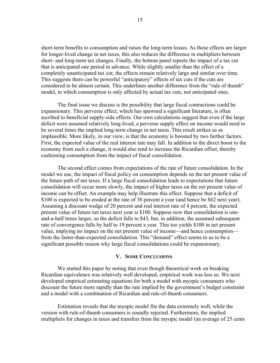short-term benefits to consumption and raises the long-term losses. As these effects are larger for longer-lived change in net taxes, this also reduces the difference in multipliers between short- and long-term tax changes. Finally, the bottom panel reports the impact of a tax cut that is anticipated one period in advance. While slightly smaller than the effect of a completely unanticipated tax cut, the effects remain relatively large and similar over time. This suggests there can be powerful "anticipatory" effects of tax cuts if the cuts are considered to be almost certain. This underlines another difference from the "rule of thumb" model, in which consumption is only affected by actual tax cuts, not anticipated ones.

The final issue we discuss is the possibility that large fiscal contractions could be expansionary. This perverse effect, which has spawned a significant literature, is often ascribed to beneficial supply-side effects. Our own calculations suggest that even if the large deficit were assumed relatively long-lived, a perverse supply effect on income would need to be several times the implied long-term change in net taxes. This result strikes us as implausible. More likely, in our view, is that the economy is boosted by two further factors. First, the expected value of the real interest rate may fall. In addition to the direct boost to the economy from such a change, it would also tend to increase the Ricardian offset, thereby cushioning consumption from the impact of fiscal consolidation.

The second effect comes from expectations of the rate of future consolidation. In the model we use, the impact of fiscal policy on consumption depends on the net present value of the future path of net taxes. If a large fiscal consolidation leads to expectations that future consolidation will occur more slowly, the impact of higher taxes on the net present value of income can be offset. An example may help illustrate this effect. Suppose that a deficit of \$100 is expected to be eroded at the rate of 38 percent a year (and hence be \$62 next year). Assuming a discount wedge of 20 percent and real interest rate of 4 percent, the expected present value of future net taxes next year is \$100. Suppose now that consolidation is oneand-a-half times larger, so the deficit falls to \$43, but, in addition, the assumed subsequent rate of convergence falls by half to 19 percent a year. This too yields \$100 in net present value, implying no impact on the net present value of income—and hence consumption from the faster-than-expected consolidation. This "demand" effect seems to us to be a significant possible reason why large fiscal consolidations could be expansionary.

#### **V. SOME CONCLUSIONS**

We started this paper by noting that even though theoretical work on breaking Ricardian equivalence was relatively well developed, empirical work was less so. We next developed empirical estimating equations for both a model with myopic consumers who discount the future more rapidly than the rate implied by the government's budget constraint and a model with a combination of Ricardian and rule-of-thumb consumers.

Estimation reveals that the myopic model fits the data extremely well, while the version with rule-of-thumb consumers is soundly rejected. Furthermore, the implied multipliers for changes in taxes and transfers from the myopic model (an average of 25 cents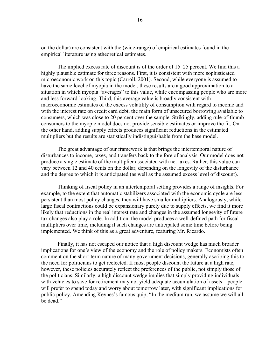on the dollar) are consistent with the (wide-range) of empirical estimates found in the empirical literature using atheoretical estimates.

The implied excess rate of discount is of the order of 15–25 percent. We find this a highly plausible estimate for three reasons. First, it is consistent with more sophisticated microeconomic work on this topic (Carroll, 2001). Second, while everyone is assumed to have the same level of myopia in the model, these results are a good approximation to a situation in which myopia "averages" to this value, while encompassing people who are more and less forward-looking. Third, this average value is broadly consistent with macroeconomic estimates of the excess volatility of consumption with regard to income and with the interest rate on credit card debt, the main form of unsecured borrowing available to consumers, which was close to 20 percent over the sample. Strikingly, adding rule-of-thumb consumers to the myopic model does not provide sensible estimates or improve the fit. On the other hand, adding supply effects produces significant reductions in the estimated multipliers but the results are statistically indistinguishable from the base model.

The great advantage of our framework is that brings the intertemporal nature of disturbances to income, taxes, and transfers back to the fore of analysis. Our model does not produce a single estimate of the multiplier associated with net taxes. Rather, this value can vary between 12 and 40 cents on the dollar, depending on the longevity of the disturbance and the degree to which it is anticipated (as well as the assumed excess level of discount).

Thinking of fiscal policy in an intertemporal setting provides a range of insights. For example, to the extent that automatic stabilizers associated with the economic cycle are less persistent than most policy changes, they will have smaller multipliers. Analogously, while large fiscal contractions could be expansionary purely due to supply effects, we find it more likely that reductions in the real interest rate and changes in the assumed longevity of future tax changes also play a role. In addition, the model produces a well-defined path for fiscal multipliers over time, including if such changes are anticipated some time before being implemented. We think of this as a great adventure, featuring Mr. Ricardo.

Finally, it has not escaped our notice that a high discount wedge has much broader implications for one's view of the economy and the role of policy makers. Economists often comment on the short-term nature of many government decisions, generally ascribing this to the need for politicians to get reelected. If most people discount the future at a high rate, however, these policies accurately reflect the preferences of the public, not simply those of the politicians. Similarly, a high discount wedge implies that simply providing individuals with vehicles to save for retirement may not yield adequate accumulation of assets—people will prefer to spend today and worry about tomorrow later, with significant implications for public policy. Amending Keynes's famous quip, "In the medium run, we assume we will all be dead."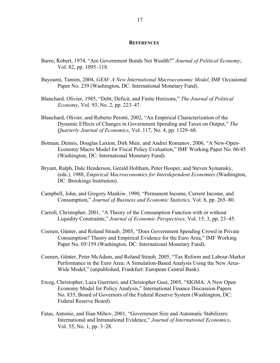#### **REFERENCES**

- Barro, Robert, 1974, "Are Government Bonds Net Wealth?" *Journal of Political Economy*, Vol. 82, pp. 1095–118.
- Bayoumi, Tamim, 2004, *GEM: A New International Macroeconomic Model*, IMF Occasional Paper No. 239 (Washington, DC: International Monetary Fund).
- Blanchard, Olivier, 1985, "Debt, Deficit, and Finite Horizons," *The Journal of Political Economy*, Vol. 93, No. 2, pp. 223–47.
- Blanchard, Olivier, and Roberto Perotti, 2002, "An Empirical Characterization of the Dynamic Effects of Changes in Government Spending and Taxes on Output," *The Quarterly Journal of Economics*, Vol. 117, No. 4, pp. 1329–68.
- Botman, Dennis, Douglas Laxton, Dirk Muir, and Andrei Romanov, 2006, "A New-Open-Economy Macro Model for Fiscal Policy Evaluation," IMF Working Paper No. 06/45 (Washington, DC: International Monetary Fund).
- Bryant, Ralph, Dale Henderson, Gerald Holtham, Peter Hooper, and Steven Symansky, (eds.), 1988, *Empirical Macroeconomics for Interdependent Economies* (Washington, DC: Brookings Institution).
- Campbell, John, and Gregory Mankiw, 1990, "Permanent Income, Current Income, and Consumption," *Journal of Business and Economic Statistics,* Vol. 8, pp. 265–80.
- Carroll, Christopher, 2001, "A Theory of the Consumption Function with or without Liquidity Constraints," *Journal of Economic Perspectives,* Vol. 15: 3, pp. 23–45.
- Coenen, Günter, and Roland Straub, 2005, "Does Government Spending Crowd in Private Consumption? Theory and Empirical Evidence for the Euro Area," IMF Working Paper No. 05/159 (Washington, DC: International Monetary Fund).
- Coenen, Günter, Peter McAdam, and Roland Straub, 2005, "Tax Reform and Labour-Market Performance in the Euro Area: A Simulation-Based Analysis Using the New Area-Wide Model," (unpublished, Frankfurt: European Central Bank).
- Erceg, Christopher, Luca Guerrieri, and Christopher Gust, 2005, "SIGMA: A New Open Economy Model for Policy Analysis," International Finance Discussion Papers No. 835, Board of Governors of the Federal Reserve System (Washington, DC: Federal Reserve Board).
- Fatas, Antonio, and Ilian Mihov, 2001, "Government Size and Automatic Stabilizers: International and Intranational Evidence," *Journal of International Economics*, Vol. 55, No. 1, pp. 3–28.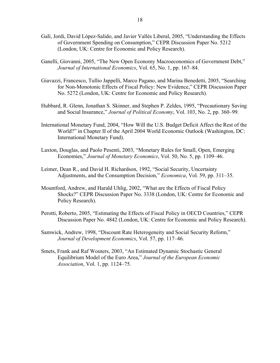- Galí, Jordi, David López-Salido, and Javier Vallés Liberal, 2005, "Understanding the Effects of Government Spending on Consumption," CEPR Discussion Paper No. 5212 (London, UK: Centre for Economic and Policy Research).
- Ganelli, Giovanni, 2005, "The New Open Economy Macroeconomics of Government Debt," *Journal of International Economics*, Vol. 65, No. 1, pp. 167–84.
- Giavazzi, Francesco, Tullio Jappelli, Marco Pagano, and Marina Benedetti, 2005, "Searching for Non-Monotonic Effects of Fiscal Policy: New Evidence," CEPR Discussion Paper No. 5272 (London, UK: Centre for Economic and Policy Research).
- Hubbard, R. Glenn, Jonathan S. Skinner, and Stephen P. Zeldes, 1995, "Precautionary Saving and Social Insurance," *Journal of Political Economy*, Vol. 103, No. 2, pp. 360–99.
- International Monetary Fund, 2004, "How Will the U.S. Budget Deficit Affect the Rest of the World?" in Chapter II of the April 2004 World Economic Outlook (Washington, DC: International Monetary Fund).
- Laxton, Douglas, and Paolo Pesenti, 2003, "Monetary Rules for Small, Open, Emerging Economies," *Journal of Monetary Economics*, Vol. 50, No. 5, pp. 1109–46.
- Leimer, Dean R., and David H. Richardson, 1992, "Social Security, Uncertainty Adjustments, and the Consumption Decision," *Economica*, Vol. 59, pp. 311–35.
- Mountford, Andrew, and Harald Uhlig, 2002, "What are the Effects of Fiscal Policy Shocks?" CEPR Discussion Paper No. 3338 (London, UK: Centre for Economic and Policy Research).
- Perotti, Roberto, 2005, "Estimating the Effects of Fiscal Policy in OECD Countries," CEPR Discussion Paper No. 4842 (London, UK: Centre for Economic and Policy Research).
- Samwick, Andrew, 1998, "Discount Rate Heterogeneity and Social Security Reform," *Journal of Development Economics*, Vol. 57, pp. 117–46.
- Smets, Frank and Raf Wouters, 2003, "An Estimated Dynamic Stochastic General Equilibrium Model of the Euro Area," *Journal of the European Economic Association*, Vol. 1, pp. 1124–75.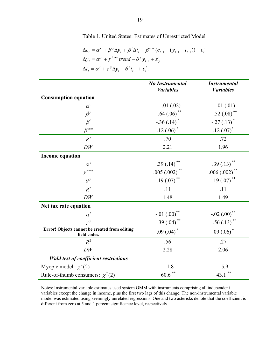### Table 1. United States: Estimates of Unrestricted Model

$$
\Delta c_t = \alpha^c + \beta^y \Delta y_t + \beta^t \Delta t_t - \beta^{ecm} (c_{t-1} - (y_{t-1} - t_{t-1})) + \varepsilon_t^c
$$
  
\n
$$
\Delta y_t = \alpha^y + \gamma^{trend} trend - \theta^y y_{t-1} + \varepsilon_y^t
$$
  
\n
$$
\Delta t_t = \alpha^t + \gamma^y \Delta y_t - \theta^t t_{t-1} + \varepsilon_t^t.
$$

|                                                               | <b>No Instrumental</b>     | <b>Instrumental</b>        |
|---------------------------------------------------------------|----------------------------|----------------------------|
|                                                               | <b><i>Variables</i></b>    | <b><i>Variables</i></b>    |
| <b>Consumption equation</b>                                   |                            |                            |
| $\alpha^{c}$                                                  | $-.01(.02)$                | $-.01(.01)$                |
| $\beta^{y}$                                                   | .64 $(.06)$ <sup>**</sup>  | .52 $(.08)$ <sup>**</sup>  |
| $\pmb{\beta}^t$                                               | $-.36(.14)$ <sup>*</sup>   | $-.27(.13)$ <sup>*</sup>   |
| $\beta^{ecm}$                                                 | $.12(0.06)^*$              | .12 $(.07)^*$              |
| $R^2$                                                         | .70                        | .72                        |
| DW                                                            | 2.21                       | 1.96                       |
| <b>Income equation</b>                                        |                            |                            |
| $\alpha^y$                                                    | $.39(.14)$ <sup>**</sup>   | .39(.13)                   |
| $\gamma^{trend}$                                              | $.005(.002)$ <sup>**</sup> | $.006(.002)$ <sup>**</sup> |
| $\theta^y$                                                    | .19 $(.07)$ <sup>**</sup>  | .19 $(.07)$ **             |
| $R^2$                                                         | .11                        | .11                        |
| DW                                                            | 1.48                       | 1.49                       |
| Net tax rate equation                                         |                            |                            |
| $\alpha^t$                                                    | -.01 ${(.00)}^{**}$        | $-.02(.00)$ **             |
| $\gamma^y$                                                    | .39 $(.04)^{**}$           | $.56(.13)$ <sup>**</sup>   |
| Error! Objects cannot be created from editing<br>field codes. | .09 $(.04)^*$              | $.09(.06)^*$               |
| $R^2$                                                         | .56                        | .27                        |
| DW                                                            | 2.28                       | 2.06                       |
| <b>Wald test of coefficient restrictions</b>                  |                            |                            |
| Myopic model: $\chi^2(2)$                                     | 1.8                        | 5.9                        |
| Rule-of-thumb consumers: $\chi^2(2)$                          | $60.6$ $^{\ast\ast}$       | **<br>43.1                 |

Notes: Instrumental variable estimates used system GMM with instruments comprising all independent variables except the change in income, plus the first two lags of this change. The non-instrumental variable model was estimated using seemingly unrelated regressions. One and two asterisks denote that the coefficient is different from zero at 5 and 1 percent significance level, respectively.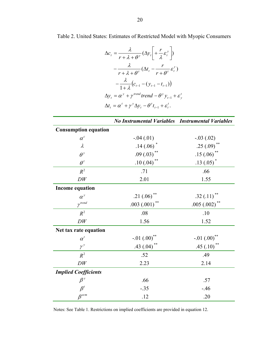$$
\Delta c_t = \frac{\lambda}{r + \lambda + \theta^y} (\Delta y_t \left[ + \frac{r}{\lambda} \varepsilon_t^y \right])
$$
  

$$
- \frac{\lambda}{r + \lambda + \theta^r} (\Delta t_t - \frac{r}{r + \theta^r} \varepsilon_t^r)
$$
  

$$
- \frac{\lambda}{1 + \lambda} (c_{t-1} - (y_{t-1} - t_{t-1}))
$$
  

$$
\Delta y_t = \alpha^y + \gamma^{trend} \text{ trend} - \theta^y y_{t-1} + \varepsilon_t^t
$$
  

$$
\Delta t_t = \alpha^t + \gamma^y \Delta y_t - \theta^t t_{t-1} + \varepsilon_t^t.
$$

|                                 | <b>No Instrumental Variables</b> | <b>Instrumental Variables</b> |
|---------------------------------|----------------------------------|-------------------------------|
| <b>Consumption equation</b>     |                                  |                               |
| $\alpha^{c}$                    | $-.04(.01)$                      | $-.03(.02)$                   |
| $\lambda$                       | $.14(.06)$ <sup>*</sup>          | .25 $(.09)$ <sup>**</sup>     |
| $\theta^y$                      | $.09(.03)$ <sup>**</sup>         | $.15(.06)$ <sup>**</sup>      |
| $\theta^{\tau}$                 | .10 $(.04)$ <sup>**</sup>        | $.13(.05)^*$                  |
| $R^2$                           | .71                              | .66                           |
| DW                              | 2.01                             | 1.55                          |
| <b>Income equation</b>          |                                  |                               |
| $\alpha^y$                      | .21(.06)                         | .32(.11)                      |
| $\gamma^{trend}$                | $.003(.001)$ **                  | .005 $(.002)$ **              |
| $R^2$                           | .08                              | .10                           |
| DW                              | 1.56                             | 1.52                          |
| Net tax rate equation           |                                  |                               |
| $\alpha^{\scriptscriptstyle t}$ | $-.01(.00)$ <sup>**</sup>        | $-.01$ $(.00)$ <sup>**</sup>  |
| $\gamma^y$                      | .43 $(.04)$ **                   | .45(.10)                      |
| $R^2$                           | .52                              | .49                           |
| ${\cal D}{\cal W}$              | 2.23                             | 2.14                          |
| <b>Implied Coefficients</b>     |                                  |                               |
| $\beta^y$                       | .66                              | .57                           |
| $\beta^t$                       | $-.35$                           | $-46$                         |
| $\beta^{ecm}$                   | .12                              | .20                           |

Notes: See Table 1. Restrictions on implied coefficients are provided in equation 12.

Table 2. United States: Estimates of Restricted Model with Myopic Consumers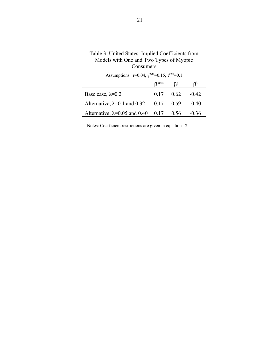| CONSUNICIS                                                                 |                             |                   |         |
|----------------------------------------------------------------------------|-----------------------------|-------------------|---------|
| Assumptions: r=0.04, $\gamma^{\text{ecm}}$ =0.15, $\tau^{\text{ecm}}$ =0.1 |                             |                   |         |
|                                                                            | $\mathsf{B}^{\mathrm{ecm}}$ | В <sup>у</sup>    | ß,      |
| Base case, $\lambda=0.2$                                                   |                             | $0.17 \quad 0.62$ | $-0.42$ |
| Alternative, $\lambda=0.1$ and 0.32                                        | $0.17$ 0.59                 |                   | $-0.40$ |
| Alternative, $\lambda = 0.05$ and 0.40 0.17 0.56                           |                             |                   | $-0.36$ |

Table 3. United States: Implied Coefficients from Models with One and Two Types of Myopic Consumers

Notes: Coefficient restrictions are given in equation 12.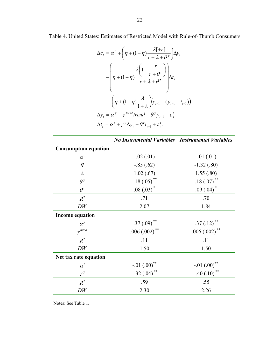Table 4. United States: Estimates of Restricted Model with Rule-of-Thumb Consumers

$$
\Delta c_{t} = \alpha^{c} + \left(\eta + (1 - \eta) \frac{\lambda[+r]}{r + \lambda + \theta^{y}}\right) \Delta y_{t}
$$

$$
- \left(\eta + (1 - \eta) \frac{\lambda\left(1 - \frac{r}{r + \theta^{z}}\right)}{r + \lambda + \theta^{z}}\right) \Delta t_{t}
$$

$$
- \left(\eta + (1 - \eta) \frac{\lambda}{1 + \lambda}\right) \left(c_{t-1} - (y_{t-1} - t_{t-1})\right)
$$

$$
\Delta y_{t} = \alpha^{y} + \gamma^{trend} \text{ trend} - \theta^{y} y_{t-1} + \varepsilon_{y}^{t}
$$

$$
\Delta t_{t} = \alpha^{t} + \gamma^{y} \Delta y_{t} - \theta^{z} t_{t-1} + \varepsilon_{t}^{t}.
$$

|                                 | <b>No Instrumental Variables Instrumental Variables</b> |                           |
|---------------------------------|---------------------------------------------------------|---------------------------|
| <b>Consumption equation</b>     |                                                         |                           |
| $\alpha^c$                      | $-.02(.01)$                                             | $-.01(.01)$               |
| $\eta$                          | $-.85(.62)$                                             | $-1.32(0.80)$             |
| $\lambda$                       | 1.02(.67)                                               | 1.55(.80)                 |
| $\theta^y$                      | .18 $(.05)$ <sup>**</sup>                               | .18 $(.07)$ <sup>**</sup> |
| $\theta^{\tau}$                 | $.08(.03)^*$                                            | $.09(0.04)^*$             |
| $R^2$                           | .71                                                     | .70                       |
| DW                              | 2.07                                                    | 1.84                      |
| <b>Income equation</b>          |                                                         |                           |
| $\alpha^y$                      | $.37(.09)$ **                                           | .37(.12)                  |
| $\gamma$ <sup>trend</sup>       | $.006(.002)$ **                                         | .006(.002)                |
| $R^2$                           | .11                                                     | .11                       |
| DW                              | 1.50                                                    | 1.50                      |
| Net tax rate equation           |                                                         |                           |
| $\alpha^{\scriptscriptstyle t}$ | $-.01(.00)$ **                                          | $-.01(.00)$ **            |
| $\gamma^y$                      | .32 $(.04)$ **                                          | **<br>.40(.10)            |
| $R^2$                           | .59                                                     | .55                       |
| DW                              | 2.30                                                    | 2.26                      |

Notes: See Table 1.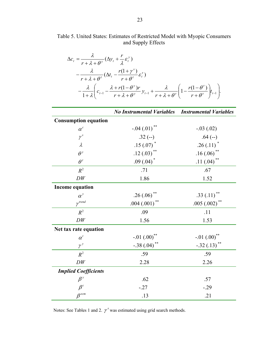Table 5. United States: Estimates of Restricted Model with Myopic Consumers and Supply Effects

$$
\Delta c_{t} = \frac{\lambda}{r + \lambda + \theta^{y}} (\Delta y_{t} + \frac{r}{\lambda} \varepsilon_{t}^{y})
$$
  
 
$$
- \frac{\lambda}{r + \lambda + \theta^{r}} (\Delta t_{t} - \frac{r(1 + \gamma^{s})}{r + \theta^{r}} \varepsilon_{t}^{r})
$$
  
 
$$
- \frac{\lambda}{1 + \lambda} \left( c_{t-1} - \frac{\lambda + r(1 - \theta^{y})r}{r + \lambda + \theta^{y}} y_{t-1} + \frac{\lambda}{r + \lambda + \theta^{r}} \left( 1 - \frac{r(1 - \theta^{r})}{r + \theta^{r}} \right) t_{t-1} \right).
$$

|                             | <b>No Instrumental Variables</b> | <b>Instrumental Variables</b> |
|-----------------------------|----------------------------------|-------------------------------|
| <b>Consumption equation</b> |                                  |                               |
| $\alpha^c$                  | $-.04(.01)$ **                   | $-.03(.02)$                   |
| $\gamma^{s}$                | $.32(-)$                         | $.64 (-)$                     |
| $\lambda$                   | $.15(.07)$ *                     | $.26(.11)^*$                  |
| $\theta^y$                  | .12 $(.03)$ <sup>**</sup>        | $.16(.06)$ **                 |
| $\theta^{\tau}$             | .09 $(.04)^*$                    | .11 $(.04)$ <sup>**</sup>     |
| $R^2$                       | .71                              | .67                           |
| ${\cal D}{\cal W}$          | 1.86                             | 1.52                          |
| <b>Income equation</b>      |                                  |                               |
| $\alpha^y$                  | $.26(.06)$ **                    | .33(.11)                      |
| $\gamma$ <sup>trend</sup>   | $.004(.001)$ <sup>**</sup>       | $.005(.002)$ **               |
| $R^2$                       | .09                              | .11                           |
| DW                          | 1.56                             | 1.53                          |
| Net tax rate equation       |                                  |                               |
| $\alpha^t$                  | $-.01$ $(.00)$ <sup>**</sup>     | $-.01(.00)$ <sup>**</sup>     |
| $\gamma^y$                  | $-.38(.04)$ **                   | $-.32(.13)$ **                |
| $R^2$                       | .59                              | .59                           |
| DW                          | 2.28                             | 2.26                          |
| <b>Implied Coefficients</b> |                                  |                               |
| $\beta^{y}$                 | .62                              | .57                           |
| $\beta^t$                   | $-27$                            | $-.29$                        |
| $\beta^{ecm}$               | .13                              | .21                           |

Notes: See Tables 1 and 2.  $\gamma^s$  was estimated using grid search methods.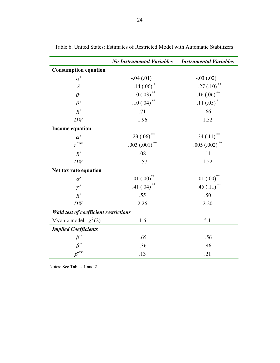|                                              | <b>No Instrumental Variables</b> | <b>Instrumental Variables</b> |
|----------------------------------------------|----------------------------------|-------------------------------|
| <b>Consumption equation</b>                  |                                  |                               |
| $\alpha^{c}$                                 | $-.04(.01)$                      | $-.03(.02)$                   |
| $\lambda$                                    | $.14(.06)$ <sup>*</sup>          | .27 $(.10)^{**}$              |
| $\theta^y$                                   | $.10(.03)$ <sup>**</sup>         | $.16(.06)$ <sup>**</sup>      |
| $\theta^{\tau}$                              | .10 $(.04)$ **                   | .11 $(.05)^*$                 |
| $R^2$                                        | .71                              | .66                           |
| DW                                           | 1.96                             | 1.52                          |
| <b>Income equation</b>                       |                                  |                               |
| $\alpha^y$                                   | .23(.06)                         | .34(.11)                      |
| $\gamma$ <sup>trend</sup>                    | $.003(.001)$ **                  | $.005(.002)$ **               |
| $R^2$                                        | .08                              | .11                           |
| DW                                           | 1.57                             | 1.52                          |
| Net tax rate equation                        |                                  |                               |
| $\alpha^t$                                   | $-.01(.00)$ <sup>**</sup>        | $-.01(.00)$ **                |
| $\gamma^y$                                   | .41 $(.04)$ <sup>**</sup>        | .45 $(.11)$ <sup>**</sup>     |
| $R^2$                                        | .55                              | .50                           |
| DW                                           | 2.26                             | 2.20                          |
| <b>Wald test of coefficient restrictions</b> |                                  |                               |
| Myopic model: $\chi^2(2)$                    | 1.6                              | 5.1                           |
| <b>Implied Coefficients</b>                  |                                  |                               |
| $\beta^y$                                    | .65                              | .56                           |
| $\beta^y$                                    | $-.36$                           | $-46$                         |
| $\beta^{ecm}$                                | .13                              | .21                           |

Table 6. United States: Estimates of Restricted Model with Automatic Stabilizers

Notes: See Tables 1 and 2.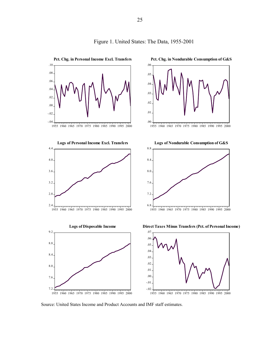

#### Figure 1. United States: The Data, 1955-2001

Source: United States Income and Product Accounts and IMF staff estimates.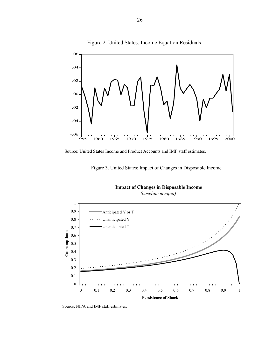

Figure 2. United States: Income Equation Residuals

Source: United States Income and Product Accounts and IMF staff estimates.





**Impact of Changes in Disposable Income** 

*(baseline myopia)*

Source: NIPA and IMF staff estimates.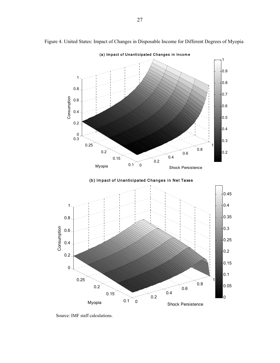

Figure 4. United States: Impact of Changes in Disposable Income for Different Degrees of Myopia

Source: IMF staff calculations.